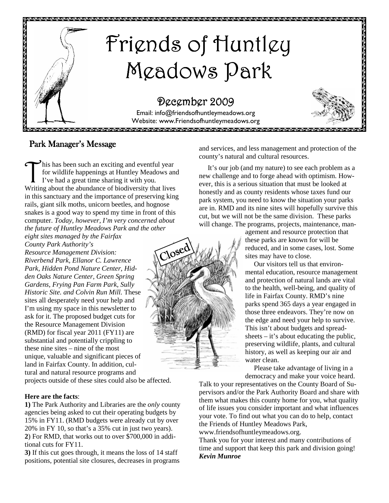

## Park Manager's Message

his has been such an exciting and eventful year for wildlife happenings at Huntley Meadows and I've had a great time sharing it with you. Writing about the abundance of biodiversity that lives in this sanctuary and the importance of preserving king rails, giant silk moths, unicorn beetles, and hognose snakes is a good way to spend my time in front of this computer. *Today, however, I'm very concerned about the future of Huntley Meadows Park and the other* 

*eight sites managed by the Fairfax County Park Authority's Resource Management Division: Riverbend Park, Ellanor C. Lawrence Park, Hidden Pond Nature Center, Hidden Oaks Nature Center, Green Spring Gardens, Frying Pan Farm Park, Sully Historic Site. and Colvin Run Mill.* These sites all desperately need your help and I'm using my space in this newsletter to ask for it. The proposed budget cuts for the Resource Management Division (RMD) for fiscal year 2011 (FY11) are substantial and potentially crippling to these nine sites – nine of the most unique, valuable and significant pieces of land in Fairfax County. In addition, cultural and natural resource programs and

projects outside of these sites could also be affected.

#### **Here are the facts**:

**1)** The Park Authority and Libraries are the *only* county agencies being asked to cut their operating budgets by 15% in FY11. (RMD budgets were already cut by over 20% in FY 10, so that's a 35% cut in just two years). **2**) For RMD, that works out to over \$700,000 in additional cuts for FY11.

**3)** If this cut goes through, it means the loss of 14 staff positions, potential site closures, decreases in programs and services, and less management and protection of the county's natural and cultural resources.

 It's our job (and my nature) to see each problem as a new challenge and to forge ahead with optimism. However, this is a serious situation that must be looked at honestly and as county residents whose taxes fund our park system, you need to know the situation your parks are in. RMD and its nine sites will hopefully survive this cut, but we will not be the same division. These parks will change. The programs, projects, maintenance, man-

> agement and resource protection that these parks are known for will be reduced, and in some cases, lost. Some sites may have to close.

 Our visitors tell us that environmental education, resource management and protection of natural lands are vital to the health, well-being, and quality of life in Fairfax County. RMD's nine parks spend 365 days a year engaged in those three endeavors. They're now on the edge and need your help to survive. This isn't about budgets and spreadsheets  $-$  it's about educating the public, preserving wildlife, plants, and cultural history, as well as keeping our air and water clean.

 Please take advantage of living in a democracy and make your voice heard.

Talk to your representatives on the County Board of Supervisors and/or the Park Authority Board and share with them what makes this county home for you, what quality of life issues you consider important and what influences your vote. To find out what you can do to help, contact the Friends of Huntley Meadows Park,

www.friendsofhuntleymeadows.org.

Thank you for your interest and many contributions of time and support that keep this park and division going! *Kevin Munroe* 

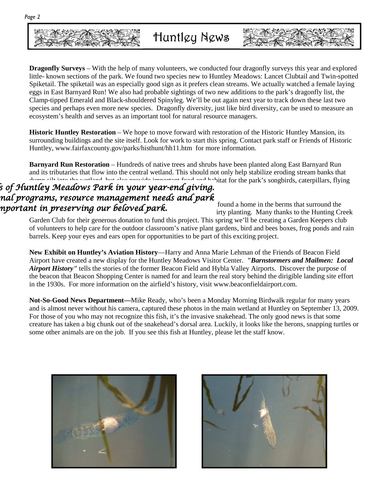

**Dragonfly Surveys** – With the help of many volunteers, we conducted four dragonfly surveys this year and explored little- known sections of the park. We found two species new to Huntley Meadows: Lancet Clubtail and Twin-spotted Spiketail. The spiketail was an especially good sign as it prefers clean streams. We actually watched a female laying eggs in East Barnyard Run! We also had probable sightings of two new additions to the park's dragonfly list, the Clamp-tipped Emerald and Black-shouldered Spinyleg. We'll be out again next year to track down these last two species and perhaps even more new species. Dragonfly diversity, just like bird diversity, can be used to measure an ecosystem's health and serves as an important tool for natural resource managers.

**Historic Huntley Restoration** – We hope to move forward with restoration of the Historic Huntley Mansion, its surrounding buildings and the site itself. Look for work to start this spring. Contact park staff or Friends of Historic Huntley, www.fairfaxcounty.gov/parks/histhunt/hh11.htm for more information.

**Barnyard Run Restoration** – Hundreds of native trees and shrubs have been planted along East Barnyard Run and its tributaries that flow into the central wetland. This should not only help stabilize eroding stream banks that down alts into the wetland, but also gravide important food and bobitat for the park's songbirds, catern dump silt into the wetland, but also provide important food and habitat for the park's songbirds, caterpillars, flying

### s of Huntley Meadows Park in your year-end giving.  $\,$ nal programs, resource management needs and park nportant in preserving our beloved park.

found a home in the berms that surround the irty planting. Many thanks to the Hunting Creek

Garden Club for their generous donation to fund this project. This spring we'll be creating a Garden Keepers club of volunteers to help care for the outdoor classroom's native plant gardens, bird and bees boxes, frog ponds and rain barrels. Keep your eyes and ears open for opportunities to be part of this exciting project.

**New Exhibit on Huntley's Aviation History**—Harry and Anna Marie Lehman of the Friends of Beacon Field Airport have created a new display for the Huntley Meadows Visitor Center. *"Barnstormers and Mailmen: Local Airport History"* tells the stories of the former Beacon Field and Hybla Valley Airports. Discover the purpose of the beacon that Beacon Shopping Center is named for and learn the real story behind the dirigible landing site effort in the 1930s. For more information on the airfield's history, visit www.beaconfieldairport.com.

**Not-So-Good News Department—**Mike Ready, who's been a Monday Morning Birdwalk regular for many years and is almost never without his camera, captured these photos in the main wetland at Huntley on September 13, 2009. For those of you who may not recognize this fish, it's the invasive snakehead. The only good news is that some creature has taken a big chunk out of the snakehead's dorsal area. Luckily, it looks like the herons, snapping turtles or some other animals are on the job. If you see this fish at Huntley, please let the staff know.



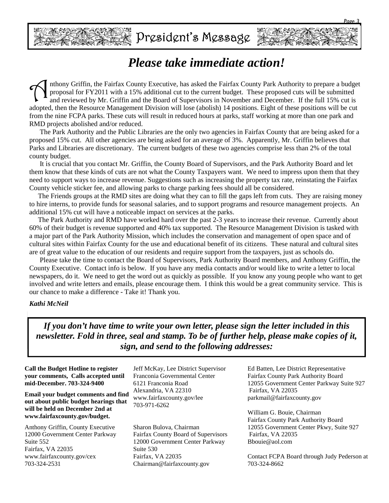

# *Please take immediate action!*

The Pairfax County Executive, has asked the Fairfax County Park Authority to prepare a budget proposal for FY2011 with a 15% additional cut to the current budget. These proposed cuts will be submitted and reviewed by Mr. G proposal for FY2011 with a 15% additional cut to the current budget. These proposed cuts will be submitted adopted, then the Resource Management Division will lose (abolish) 14 positions. Eight of these positions will be cut from the nine FCPA parks. These cuts will result in reduced hours at parks, staff working at more than one park and RMD projects abolished and/or reduced.

 The Park Authority and the Public Libraries are the only two agencies in Fairfax County that are being asked for a proposed 15% cut. All other agencies are being asked for an average of 3%. Apparently, Mr. Griffin believes that Parks and Libraries are discretionary. The current budgets of these two agencies comprise less than 2% of the total county budget.

 It is crucial that you contact Mr. Griffin, the County Board of Supervisors, and the Park Authority Board and let them know that these kinds of cuts are not what the County Taxpayers want. We need to impress upon them that they need to support ways to increase revenue. Suggestions such as increasing the property tax rate, reinstating the Fairfax County vehicle sticker fee, and allowing parks to charge parking fees should all be considered.

 The Friends groups at the RMD sites are doing what they can to fill the gaps left from cuts. They are raising money to hire interns, to provide funds for seasonal salaries, and to support programs and resource management projects. An additional 15% cut will have a noticeable impact on services at the parks.

 The Park Authority and RMD have worked hard over the past 2-3 years to increase their revenue. Currently about 60% of their budget is revenue supported and 40% tax supported. The Resource Management Division is tasked with a major part of the Park Authority Mission, which includes the conservation and management of open space and of cultural sites within Fairfax County for the use and educational benefit of its citizens. These natural and cultural sites are of great value to the education of our residents and require support from the taxpayers, just as schools do.

 Please take the time to contact the Board of Supervisors, Park Authority Board members, and Anthony Griffin, the County Executive. Contact info is below. If you have any media contacts and/or would like to write a letter to local newspapers, do it. We need to get the word out as quickly as possible. If you know any young people who want to get involved and write letters and emails, please encourage them. I think this would be a great community service. This is our chance to make a difference - Take it! Thank you.

#### *Kathi McNeil*

*If you don't have time to write your own letter, please sign the letter included in this newsletter. Fold in three, seal and stamp. To be of further help, please make copies of it, sign, and send to the following addresses:*

**Call the Budget Hotline to register your comments, Calls accepted until mid-December. 703-324-9400** 

**Email your budget comments and find out about public budget hearings that will be held on December 2nd at www.fairfaxcounty.gov/budget.**

Anthony Griffin, County Executive 12000 Government Center Parkway Suite 552 Fairfax, VA 22035 www.fairfaxcounty.gov/cex 703-324-2531

Jeff McKay, Lee District Supervisor Franconia Governmental Center 6121 Franconia Road Alexandria, VA 22310 www.fairfaxcounty.gov/lee 703-971-6262

Sharon Bulova, Chairman Fairfax County Board of Supervisors 12000 Government Center Parkway Suite 530 Fairfax, VA 22035 Chairman@fairfaxcounty.gov

Ed Batten, Lee District Representative Fairfax County Park Authority Board 12055 Government Center Parkway Suite 927 Fairfax, VA 22035 parkmail@fairfaxcounty.gov

William G. Bouie, Chairman Fairfax County Park Authority Board 12055 Government Center Pkwy, Suite 927 Fairfax, VA 22035 Bbouie@aol.com

Contact FCPA Board through Judy Pederson at 703-324-8662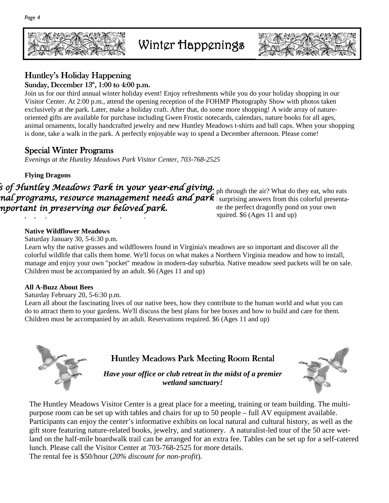

# Winter Happenings



### Huntley's Holiday Happening Sunday, December  $13<sup>th</sup>$ ,  $1:00$  to  $4:00$  p.m.

Join us for our third annual winter holiday event! Enjoy refreshments while you do your holiday shopping in our Visitor Center. At 2:00 p.m., attend the opening reception of the FOHMP Photography Show with photos taken exclusively at the park. Later, make a holiday craft. After that, do some more shopping! A wide array of natureoriented gifts are available for purchase including Gwen Frostic notecards, calendars, nature books for all ages, animal ornaments, locally handcrafted jewelry and new Huntley Meadows t-shirts and ball caps. When your shopping is done, take a walk in the park. A perfectly enjoyable way to spend a December afternoon. Please come!

### **Special Winter Programs**

*Evenings at the Huntley Meadows Park Visitor Center, 703-768-2525* 

**Flying Dragons** 

.<br>In the Sear our Seas of Huntley of Huntley. Sof Huntley. The Searly Wear-end giving. Sof Huntley Meadows Searl ph through the air? What do they eat, who eats  $\bm{na}$ l  $\bm{programs}$ , resource management needs and  $\bm{park}$  surprising answers from this colorful presentanportant in preserving our beloved park. The state the perfect dragonfly pond on your own property.  $6$  (Ages 11 and up)

#### **Native Wildflower Meadows**

Saturday January 30, 5-6:30 p.m.

Learn why the native grasses and wildflowers found in Virginia's meadows are so important and discover all the colorful wildlife that calls them home. We'll focus on what makes a Northern Virginia meadow and how to install, manage and enjoy your own "pocket" meadow in modern-day suburbia. Native meadow seed packets will be on sale. Children must be accompanied by an adult. \$6 (Ages 11 and up)

#### **All A-Buzz About Bees**

Saturday February 20, 5-6:30 p.m.

Learn all about the fascinating lives of our native bees, how they contribute to the human world and what you can do to attract them to your gardens. We'll discuss the best plans for bee boxes and how to build and care for them. Children must be accompanied by an adult. Reservations required. \$6 (Ages 11 and up)

# Huntley Meadows Park Meeting Room Rental

*Have your office or club retreat in the midst of a premier wetland sanctuary!* 

The Huntley Meadows Visitor Center is a great place for a meeting, training or team building. The multipurpose room can be set up with tables and chairs for up to 50 people – full AV equipment available. Participants can enjoy the center's informative exhibits on local natural and cultural history, as well as the gift store featuring nature-related books, jewelry, and stationery. A naturalist-led tour of the 50 acre wetland on the half-mile boardwalk trail can be arranged for an extra fee. Tables can be set up for a self-catered lunch. Please call the Visitor Center at 703-768-2525 for more details.

The rental fee is \$50/hour (*20% discount for non-profit*).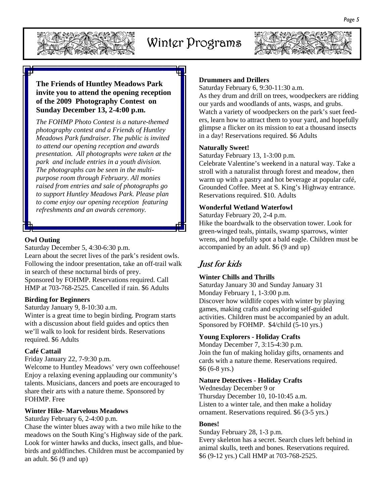

# Winter Programs



#### **The Friends of Huntley Meadows Park invite you to attend the opening reception of the 2009 Photography Contest on Sunday December 13, 2-4:00 p.m.**

*The FOHMP Photo Contest is a nature-themed photography contest and a Friends of Huntley Meadows Park fundraiser. The public is invited to attend our opening reception and awards presentation. All photographs were taken at the park and include entries in a youth division. The photographs can be seen in the multipurpose room through February. All monies raised from entries and sale of photographs go to support Huntley Meadows Park. Please plan to come enjoy our opening reception featuring refreshments and an awards ceremony.*

#### **Owl Outing**

Saturday December 5, 4:30-6:30 p.m. Learn about the secret lives of the park's resident owls. Following the indoor presentation, take an off-trail walk in search of these nocturnal birds of prey. Sponsored by FOHMP. Reservations required. Call HMP at 703-768-2525. Cancelled if rain. \$6 Adults

#### **Birding for Beginners**

Saturday January 9, 8-10:30 a.m.

Winter is a great time to begin birding. Program starts with a discussion about field guides and optics then we'll walk to look for resident birds. Reservations required. \$6 Adults

#### **Café Cattail**

Friday January 22, 7-9:30 p.m.

Welcome to Huntley Meadows' very own coffeehouse! Enjoy a relaxing evening applauding our community's talents. Musicians, dancers and poets are encouraged to share their arts with a nature theme. Sponsored by FOHMP. Free

#### **Winter Hike- Marvelous Meadows**

Saturday February 6, 2-4:00 p.m.

Chase the winter blues away with a two mile hike to the meadows on the South King's Highway side of the park. Look for winter hawks and ducks, insect galls, and bluebirds and goldfinches. Children must be accompanied by an adult. \$6 (9 and up)

#### **Drummers and Drillers**

Saturday February 6, 9:30-11:30 a.m.

As they drum and drill on trees, woodpeckers are ridding our yards and woodlands of ants, wasps, and grubs. Watch a variety of woodpeckers on the park's suet feeders, learn how to attract them to your yard, and hopefully glimpse a flicker on its mission to eat a thousand insects in a day! Reservations required. \$6 Adults

#### **Naturally Sweet!**

Saturday February 13, 1-3:00 p.m.

Celebrate Valentine's weekend in a natural way. Take a stroll with a naturalist through forest and meadow, then warm up with a pastry and hot beverage at popular café, Grounded Coffee. Meet at S. King's Highway entrance. Reservations required. \$10. Adults

#### **Wonderful Wetland Waterfowl**

Saturday February 20, 2-4 p.m. Hike the boardwalk to the observation tower. Look for green-winged teals, pintails, swamp sparrows, winter wrens, and hopefully spot a bald eagle. Children must be accompanied by an adult. \$6 (9 and up)

### Just for kids

#### **Winter Chills and Thrills**

Saturday January 30 and Sunday January 31 Monday February 1, 1-3:00 p.m. Discover how wildlife copes with winter by playing games, making crafts and exploring self-guided activities. Children must be accompanied by an adult. Sponsored by FOHMP. \$4/child (5-10 yrs.)

#### **Young Explorers - Holiday Crafts**

Monday December 7, 3:15-4:30 p.m. Join the fun of making holiday gifts, ornaments and cards with a nature theme. Reservations required. \$6 (6-8 yrs.)

#### **Nature Detectives - Holiday Crafts**

Wednesday December 9 or Thursday December 10, 10-10:45 a.m. Listen to a winter tale, and then make a holiday ornament. Reservations required. \$6 (3-5 yrs.)

#### **Bones!**

Sunday February 28, 1-3 p.m. Every skeleton has a secret. Search clues left behind in animal skulls, teeth and bones. Reservations required. \$6 (9-12 yrs.) Call HMP at 703-768-2525.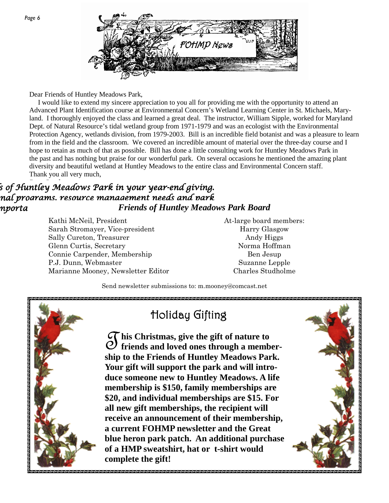

Dear Friends of Huntley Meadows Park,

 I would like to extend my sincere appreciation to you all for providing me with the opportunity to attend an Advanced Plant Identification course at Environmental Concern's Wetland Learning Center in St. Michaels, Maryland. I thoroughly enjoyed the class and learned a great deal. The instructor, William Sipple, worked for Maryland Dept. of Natural Resource's tidal wetland group from 1971-1979 and was an ecologist with the Environmental Protection Agency, wetlands division, from 1979-2003. Bill is an incredible field botanist and was a pleasure to learn from in the field and the classroom. We covered an incredible amount of material over the three-day course and I hope to retain as much of that as possible. Bill has done a little consulting work for Huntley Meadows Park in the past and has nothing but praise for our wonderful park. On several occasions he mentioned the amazing plant diversity and beautiful wetland at Huntley Meadows to the entire class and Environmental Concern staff. Thank you all very much,

## $\bar{\mathcal{B}}$  of Huntley Meadows Park in your year-end giving. nal programs, resource management needs and park nporta<sup>nt</sup> in preserving in preserving *Friends of Huntley Meadows Park Board*

Kathi McNeil, President Sarah Stromayer, Vice-president Sally Cureton, Treasurer Glenn Curtis, Secretary Connie Carpender, Membership P.J. Dunn, Webmaster Marianne Mooney, Newsletter Editor At-large board members: Harry Glasgow Andy Higgs Norma Hoffman Ben Jesup Suzanne Lepple Charles Studholme

Send newsletter submissions to: m.mooney@comcast.net



# Holiday Gifting

 $\mathcal{\widetilde{G}}$  his Christmas, give the gift of nature to<br>  $\mathcal{\widetilde{O}}$  friends and loved ones through a member**his Christmas, give the gift of nature to ship to the Friends of Huntley Meadows Park. Your gift will support the park and will introduce someone new to Huntley Meadows. A life membership is \$150, family memberships are \$20, and individual memberships are \$15. For all new gift memberships, the recipient will receive an announcement of their membership, a current FOHMP newsletter and the Great blue heron park patch. An additional purchase of a HMP sweatshirt, hat or t-shirt would complete the gift!**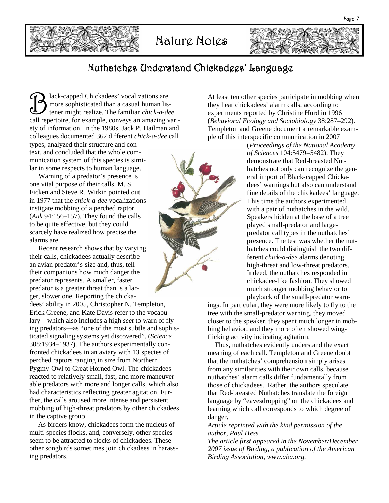



Nature Notes



## Nuthatches Understand Chickadees' Language Nuthatches Understand Chickadees' Language

B lack-capped Chickadees' vocalizations are<br>more sophisticated than a casual human lis-<br>tener might realize. The familiar *chick-a-de* more sophisticated than a casual human listener might realize. The familiar *chick-a-dee* call repertoire, for example, conveys an amazing variety of information. In the 1980s, Jack P. Hailman and colleagues documented 362 different *chick-a-dee* call types, analyzed their structure and con-

text, and concluded that the whole communication system of this species is similar in some respects to human language.

Warning of a predator's presence is one vital purpose of their calls. M. S. Ficken and Steve R. Witkin pointed out in 1977 that the *chick-a-dee* vocalizations instigate mobbing of a perched raptor (*Auk* 94:156–157). They found the calls to be quite effective, but they could scarcely have realized how precise the alarms are.

Recent research shows that by varying their calls, chickadees actually describe an avian predator's size and, thus, tell their companions how much danger the predator represents. A smaller, faster predator is a greater threat than is a larger, slower one. Reporting the chicka-

dees' ability in 2005, Christopher N. Templeton, Erick Greene, and Kate Davis refer to the vocabulary—which also includes a high *seet* to warn of flying predators—as "one of the most subtle and sophisticated signaling systems yet discovered". (*Science* 308:1934–1937). The authors experimentally confronted chickadees in an aviary with 13 species of perched raptors ranging in size from Northern Pygmy-Owl to Great Horned Owl. The chickadees reacted to relatively small, fast, and more maneuverable predators with more and longer calls, which also had characteristics reflecting greater agitation. Further, the calls aroused more intense and persistent mobbing of high-threat predators by other chickadees in the captive group.

 As birders know, chickadees form the nucleus of multi-species flocks, and, conversely, other species seem to be attracted to flocks of chickadees. These other songbirds sometimes join chickadees in harassing predators.

At least ten other species participate in mobbing when they hear chickadees' alarm calls, according to experiments reported by Christine Hurd in 1996 (*Behavioral Ecology and Sociobiology* 38:287–292). Templeton and Greene document a remarkable example of this interspecific communication in 2007

> (*Proceedings of the National Academy of Sciences* 104:5479–5482). They demonstrate that Red-breasted Nuthatches not only can recognize the general import of Black-capped Chickadees' warnings but also can understand fine details of the chickadees' language. This time the authors experimented with a pair of nuthatches in the wild. Speakers hidden at the base of a tree played small-predator and largepredator call types in the nuthatches' presence. The test was whether the nuthatches could distinguish the two different *chick-a-dee* alarms denoting high-threat and low-threat predators. Indeed, the nuthatches responded in chickadee-like fashion. They showed much stronger mobbing behavior to playback of the small-predator warn-

ings. In particular, they were more likely to fly to the tree with the small-predator warning, they moved closer to the speaker, they spent much longer in mobbing behavior, and they more often showed wingflicking activity indicating agitation.

 Thus, nuthatches evidently understand the exact meaning of each call. Templeton and Greene doubt that the nuthatches' comprehension simply arises from any similarities with their own calls, because nuthatches' alarm calls differ fundamentally from those of chickadees. Rather, the authors speculate that Red-breasted Nuthatches translate the foreign language by "eavesdropping" on the chickadees and learning which call corresponds to which degree of danger.

*Article reprinted with the kind permission of the author, Paul Hess.* 

*The article first appeared in the November/December 2007 issue of Birding, a publication of the American Birding Association, www.aba.org.* 

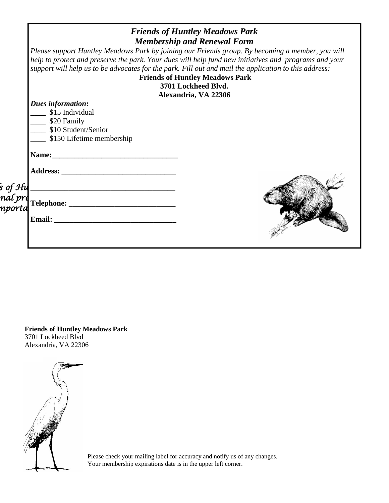| <b>Friends of Huntley Meadows Park</b><br><b>Membership and Renewal Form</b>                                                                                                                                                                                                                                                                                                                                |  |
|-------------------------------------------------------------------------------------------------------------------------------------------------------------------------------------------------------------------------------------------------------------------------------------------------------------------------------------------------------------------------------------------------------------|--|
| Please support Huntley Meadows Park by joining our Friends group. By becoming a member, you will<br>help to protect and preserve the park. Your dues will help fund new initiatives and programs and your<br>support will help us to be advocates for the park. Fill out and mail the application to this address:<br><b>Friends of Huntley Meadows Park</b><br>3701 Lockheed Blvd.<br>Alexandria, VA 22306 |  |
| Dues information:<br>\$15 Individual<br>$\frac{1}{20}$ Family<br>\$10 Student/Senior<br>$\frac{1}{2}$ \$150 Lifetime membership                                                                                                                                                                                                                                                                             |  |
|                                                                                                                                                                                                                                                                                                                                                                                                             |  |
|                                                                                                                                                                                                                                                                                                                                                                                                             |  |

**Friends of Huntley Meadows Park**  3701 Lockheed Blvd Alexandria, VA 22306



Please check your mailing label for accuracy and notify us of any changes. Your membership expirations date is in the upper left corner.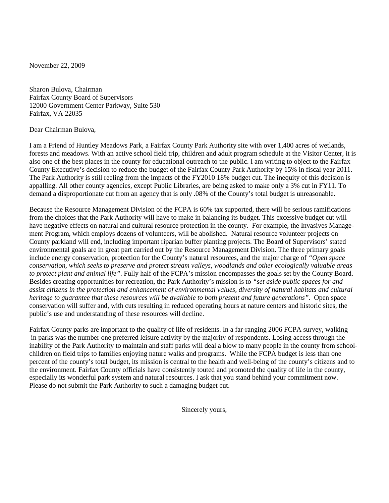November 22, 2009

Sharon Bulova, Chairman Fairfax County Board of Supervisors 12000 Government Center Parkway, Suite 530 Fairfax, VA 22035

Dear Chairman Bulova,

I am a Friend of Huntley Meadows Park, a Fairfax County Park Authority site with over 1,400 acres of wetlands, forests and meadows. With an active school field trip, children and adult program schedule at the Visitor Center, it is also one of the best places in the county for educational outreach to the public. I am writing to object to the Fairfax County Executive's decision to reduce the budget of the Fairfax County Park Authority by 15% in fiscal year 2011. The Park Authority is still reeling from the impacts of the FY2010 18% budget cut. The inequity of this decision is appalling. All other county agencies, except Public Libraries, are being asked to make only a 3% cut in FY11. To demand a disproportionate cut from an agency that is only .08% of the County's total budget is unreasonable.

Because the Resource Management Division of the FCPA is 60% tax supported, there will be serious ramifications from the choices that the Park Authority will have to make in balancing its budget. This excessive budget cut will have negative effects on natural and cultural resource protection in the county. For example, the Invasives Management Program, which employs dozens of volunteers, will be abolished. Natural resource volunteer projects on County parkland will end, including important riparian buffer planting projects. The Board of Supervisors' stated environmental goals are in great part carried out by the Resource Management Division. The three primary goals include energy conservation, protection for the County's natural resources, and the major charge of *"Open space conservation, which seeks to preserve and protect stream valleys, woodlands and other ecologically valuable areas to protect plant and animal life"*. Fully half of the FCPA's mission encompasses the goals set by the County Board. Besides creating opportunities for recreation, the Park Authority's mission is to *"set aside public spaces for and assist citizens in the protection and enhancement of environmental values, diversity of natural habitats and cultural heritage to guarantee that these resources will be available to both present and future generations".* Open space conservation will suffer and, with cuts resulting in reduced operating hours at nature centers and historic sites, the public's use and understanding of these resources will decline.

Fairfax County parks are important to the quality of life of residents. In a far-ranging 2006 FCPA survey, walking in parks was the number one preferred leisure activity by the majority of respondents. Losing access through the inability of the Park Authority to maintain and staff parks will deal a blow to many people in the county from schoolchildren on field trips to families enjoying nature walks and programs. While the FCPA budget is less than one percent of the county's total budget, its mission is central to the health and well-being of the county's citizens and to the environment. Fairfax County officials have consistently touted and promoted the quality of life in the county, especially its wonderful park system and natural resources. I ask that you stand behind your commitment now. Please do not submit the Park Authority to such a damaging budget cut.

Sincerely yours,